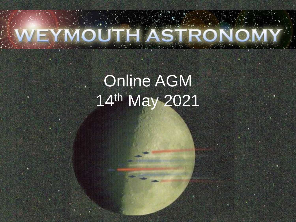#### AST  $\Omega$ **Committee Committee CONTRACTOR**  $\mathcal{L}(\mathcal{A})$

# Online AGM 14th May 2021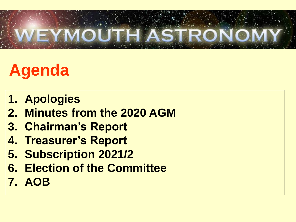

# **Agenda**

- **1. Apologies**
- **2. Minutes from the 2020 AGM**
- **3. Chairman's Report**
- **4. Treasurer's Report**
- **5. Subscription 2021/2**
- **6. Election of the Committee**
- **7. AOB**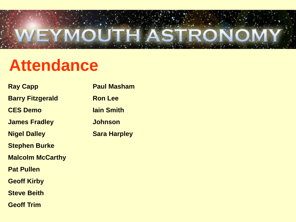

### **Attendance**

| <b>Ray Capp</b>         | <b>Paul Masham</b>  |
|-------------------------|---------------------|
| <b>Barry Fitzgerald</b> | <b>Ron Lee</b>      |
| <b>CES Demo</b>         | <b>lain Smith</b>   |
| <b>James Fradley</b>    | <b>Johnson</b>      |
| <b>Nigel Dalley</b>     | <b>Sara Harpley</b> |
| <b>Stephen Burke</b>    |                     |
| <b>Malcolm McCarthy</b> |                     |
| <b>Pat Pullen</b>       |                     |
| <b>Geoff Kirby</b>      |                     |
| <b>Steve Beith</b>      |                     |
| <b>Geoff Trim</b>       |                     |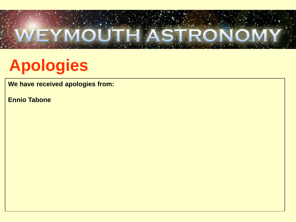

# **Apologies**

**We have received apologies from:**

**Ennio Tabone**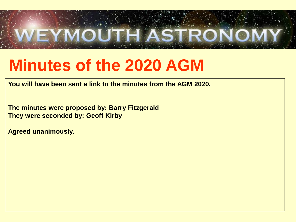

#### **Minutes of the 2020 AGM**

**You will have been sent a link to the minutes from the AGM 2020.**

**The minutes were proposed by: Barry Fitzgerald They were seconded by: Geoff Kirby**

**Agreed unanimously.**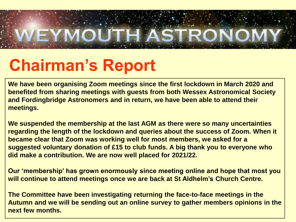

## **Chairman's Report**

**We have been organising Zoom meetings since the first lockdown in March 2020 and benefited from sharing meetings with guests from both Wessex Astronomical Society and Fordingbridge Astronomers and in return, we have been able to attend their meetings.**

**We suspended the membership at the last AGM as there were so many uncertainties regarding the length of the lockdown and queries about the success of Zoom. When it became clear that Zoom was working well for most members, we asked for a suggested voluntary donation of £15 to club funds. A big thank you to everyone who did make a contribution. We are now well placed for 2021/22.**

**Our 'membership' has grown enormously since meeting online and hope that most you will continue to attend meetings once we are back at St Aldhelm's Church Centre.**

**The Committee have been investigating returning the face-to-face meetings in the Autumn and we will be sending out an online survey to gather members opinions in the next few months.**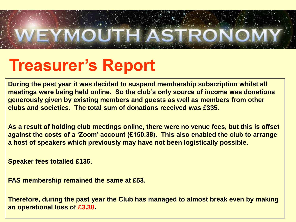

#### **Treasurer's Report**

**During the past year it was decided to suspend membership subscription whilst all meetings were being held online. So the club's only source of income was donations generously given by existing members and guests as well as members from other clubs and societies. The total sum of donations received was £335.** 

**As a result of holding club meetings online, there were no venue fees, but this is offset against the costs of a 'Zoom' account (£150.38). This also enabled the club to arrange a host of speakers which previously may have not been logistically possible.** 

**Speaker fees totalled £135.**

**FAS membership remained the same at £53.**

**Therefore, during the past year the Club has managed to almost break even by making an operational loss of £3.38.**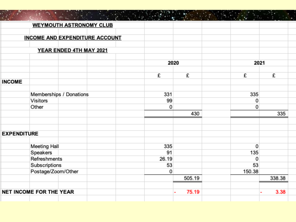|                    | <b>WEYMOUTH ASTRONOMY CLUB</b>        |       |        |        |        |  |
|--------------------|---------------------------------------|-------|--------|--------|--------|--|
|                    | <b>INCOME AND EXPENDITURE ACCOUNT</b> |       |        |        |        |  |
|                    |                                       |       |        |        |        |  |
|                    | YEAR ENDED 4TH MAY 2021               |       |        |        |        |  |
|                    |                                       |       | 2020   |        | 2021   |  |
|                    |                                       |       |        |        |        |  |
| <b>INCOME</b>      |                                       | £     | £      | £      | £      |  |
|                    |                                       |       |        |        |        |  |
|                    | Memberships / Donations               | 331   |        | 335    |        |  |
|                    | Visitors                              | 99    |        | 0      |        |  |
|                    | Other                                 | 0     |        | 0      |        |  |
|                    |                                       |       | 430    |        | 335    |  |
| <b>EXPENDITURE</b> |                                       |       |        |        |        |  |
|                    | Meeting Hall                          | 335   |        | 0      |        |  |
|                    | Speakers                              | 91    |        | 135    |        |  |
|                    | Refreshments                          | 26.19 |        | 0      |        |  |
|                    | Subscriptions                         | 53    |        | 53     |        |  |
|                    | Postage/Zoom/Other                    | 0     |        | 150.38 |        |  |
|                    |                                       |       | 505.19 |        | 338.38 |  |
|                    | <b>NET INCOME FOR THE YEAR</b>        |       | 75.19  |        | 3.38   |  |

<u> 1988 - Anna Bailtean Aonaichte ann an Caobhair an Chuireachd ann an Chuireachd ann an Chuireachd ann an Chuireachd ann an Chuireachd ann an Chuireachd ann an Chuireachd ann an Chuireachd ann an Chuireachd ann an Chuireac</u>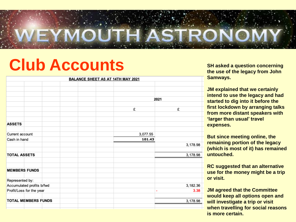

### **Club Accounts SH asked a question concerning**

| <b>BALANCE SHEET AS AT 14TH MAY 2021</b> |          |        |           |  |  |  |
|------------------------------------------|----------|--------|-----------|--|--|--|
|                                          |          |        |           |  |  |  |
|                                          |          |        |           |  |  |  |
|                                          |          |        |           |  |  |  |
|                                          |          |        | 2021      |  |  |  |
|                                          |          |        |           |  |  |  |
|                                          |          | £      | £         |  |  |  |
|                                          |          |        |           |  |  |  |
|                                          |          |        |           |  |  |  |
| <b>ASSETS</b>                            |          |        |           |  |  |  |
|                                          |          |        |           |  |  |  |
| Current account                          | 3,077.55 |        |           |  |  |  |
| Cash in hand                             |          | 101.43 |           |  |  |  |
|                                          |          |        | 3,178.98  |  |  |  |
|                                          |          |        |           |  |  |  |
| <b>TOTAL ASSETS</b>                      |          |        | 3,178.98  |  |  |  |
|                                          |          |        |           |  |  |  |
|                                          |          |        |           |  |  |  |
| <b>MEMBERS FUNDS</b>                     |          |        |           |  |  |  |
|                                          |          |        |           |  |  |  |
| Represented by:                          |          |        |           |  |  |  |
| Accumulated profits b/fwd                |          |        | 3,182.36  |  |  |  |
| Profit/Loss for the year                 |          |        | 3.38<br>۰ |  |  |  |
|                                          |          |        |           |  |  |  |
| <b>TOTAL MEMBERS FUNDS</b>               |          |        | 3,178.98  |  |  |  |
|                                          |          |        |           |  |  |  |
|                                          |          |        |           |  |  |  |

**the use of the legacy from John Samways.**

**JM explained that we certainly intend to use the legacy and had started to dig into it before the first lockdown by arranging talks from more distant speakers with 'larger than usual' travel expenses.**

**But since meeting online, the remaining portion of the legacy (which is most of it) has remained untouched.**

**RC suggested that an alternative use for the money might be a trip or visit.**

**JM agreed that the Committee would keep all options open and will investigate a trip or visit when travelling for social reasons is more certain.**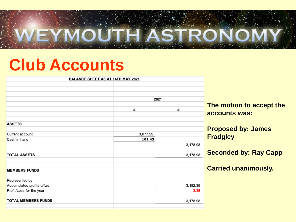

#### **Club Accounts**

| <b>BALANCE SHEET AS AT 14TH MAY 2021</b> |                  |
|------------------------------------------|------------------|
|                                          |                  |
|                                          |                  |
| 2021                                     |                  |
|                                          | <b>The moti</b>  |
| £<br>£                                   | accounts         |
|                                          |                  |
|                                          |                  |
|                                          | <b>Propose</b>   |
| 3,077.55                                 | <b>Fradgley</b>  |
| 101.43                                   |                  |
| 3,178.98                                 |                  |
| 3,178.98                                 | <b>Seconde</b>   |
|                                          |                  |
|                                          | <b>Carried u</b> |
|                                          |                  |
| Accumulated profits b/fwd<br>3,182.36    |                  |
|                                          | 3.38             |
| <b>TOTAL MEMBERS FUNDS</b><br>3,178.98   |                  |

**On to accept the s** was:

**Proposed by: James** 

**d by: Ray Capp** 

**Carried unanimously.**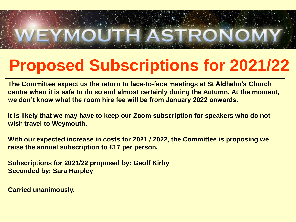

# **Proposed Subscriptions for 2021/22**

**The Committee expect us the return to face-to-face meetings at St Aldhelm's Church centre when it is safe to do so and almost certainly during the Autumn. At the moment, we don't know what the room hire fee will be from January 2022 onwards.**

**It is likely that we may have to keep our Zoom subscription for speakers who do not wish travel to Weymouth.**

**With our expected increase in costs for 2021 / 2022, the Committee is proposing we raise the annual subscription to £17 per person.**

**Subscriptions for 2021/22 proposed by: Geoff Kirby Seconded by: Sara Harpley**

**Carried unanimously.**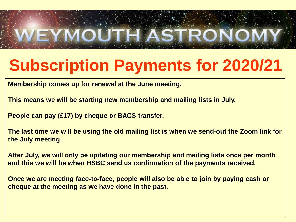

# **Subscription Payments for 2020/21**

**Membership comes up for renewal at the June meeting.**

**This means we will be starting new membership and mailing lists in July.**

**People can pay (£17) by cheque or BACS transfer.**

**The last time we will be using the old mailing list is when we send-out the Zoom link for the July meeting.**

**After July, we will only be updating our membership and mailing lists once per month and this we will be when HSBC send us confirmation of the payments received.**

**Once we are meeting face-to-face, people will also be able to join by paying cash or cheque at the meeting as we have done in the past.**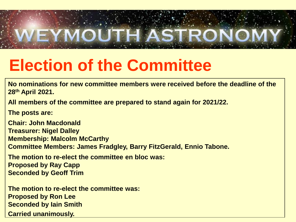

# **Election of the Committee**

**No nominations for new committee members were received before the deadline of the 28th April 2021.**

**All members of the committee are prepared to stand again for 2021/22.**

**The posts are:**

**Chair: John Macdonald Treasurer: Nigel Dalley Membership: Malcolm McCarthy Committee Members: James Fradgley, Barry FitzGerald, Ennio Tabone.**

**The motion to re-elect the committee en bloc was: Proposed by Ray Capp Seconded by Geoff Trim**

**The motion to re-elect the committee was: Proposed by Ron Lee Seconded by Iain Smith Carried unanimously.**